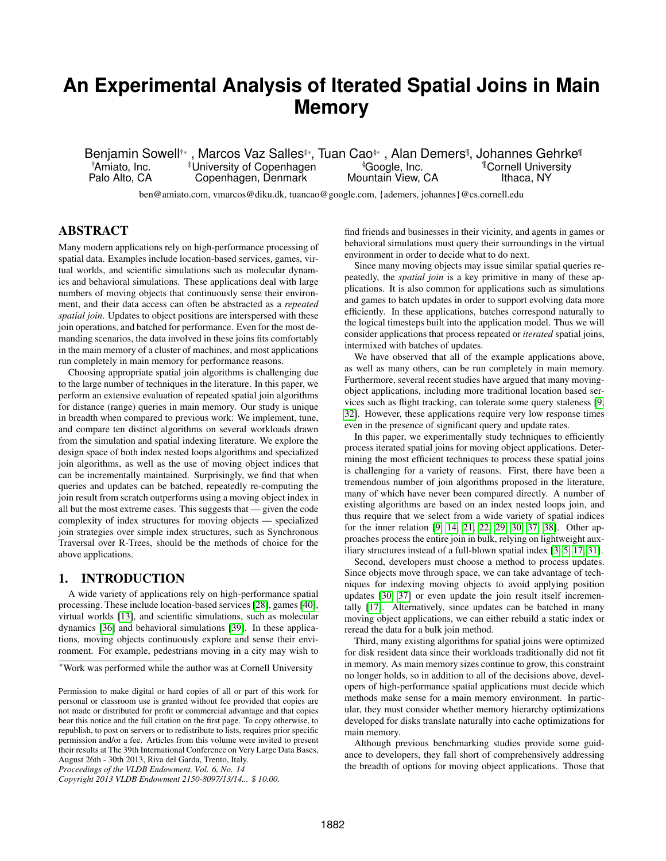# **An Experimental Analysis of Iterated Spatial Joins in Main Memory**

Benjamin Sowell†∗, Marcos Vaz Salles‡, Tuan Cao§∗, Alan Demers¶, Johannes Gehrke¶ †Amiato, Inc. ‡University of Copenhagen §Google, Inc. ¶Cornell University Copenhagen, Denmark

ben@amiato.com, vmarcos@diku.dk, tuancao@google.com, {ademers, johannes}@cs.cornell.edu

## ABSTRACT

Many modern applications rely on high-performance processing of spatial data. Examples include location-based services, games, virtual worlds, and scientific simulations such as molecular dynamics and behavioral simulations. These applications deal with large numbers of moving objects that continuously sense their environment, and their data access can often be abstracted as a *repeated spatial join*. Updates to object positions are interspersed with these join operations, and batched for performance. Even for the most demanding scenarios, the data involved in these joins fits comfortably in the main memory of a cluster of machines, and most applications run completely in main memory for performance reasons.

Choosing appropriate spatial join algorithms is challenging due to the large number of techniques in the literature. In this paper, we perform an extensive evaluation of repeated spatial join algorithms for distance (range) queries in main memory. Our study is unique in breadth when compared to previous work: We implement, tune, and compare ten distinct algorithms on several workloads drawn from the simulation and spatial indexing literature. We explore the design space of both index nested loops algorithms and specialized join algorithms, as well as the use of moving object indices that can be incrementally maintained. Surprisingly, we find that when queries and updates can be batched, repeatedly re-computing the join result from scratch outperforms using a moving object index in all but the most extreme cases. This suggests that — given the code complexity of index structures for moving objects — specialized join strategies over simple index structures, such as Synchronous Traversal over R-Trees, should be the methods of choice for the above applications.

## 1. INTRODUCTION

A wide variety of applications rely on high-performance spatial processing. These include location-based services [\[28\]](#page-11-0), games [\[40\]](#page-11-1), virtual worlds [\[13\]](#page-11-2), and scientific simulations, such as molecular dynamics [\[36\]](#page-11-3) and behavioral simulations [\[39\]](#page-11-4). In these applications, moving objects continuously explore and sense their environment. For example, pedestrians moving in a city may wish to

*Proceedings of the VLDB Endowment, Vol. 6, No. 14*

find friends and businesses in their vicinity, and agents in games or behavioral simulations must query their surroundings in the virtual environment in order to decide what to do next.

Since many moving objects may issue similar spatial queries repeatedly, the *spatial join* is a key primitive in many of these applications. It is also common for applications such as simulations and games to batch updates in order to support evolving data more efficiently. In these applications, batches correspond naturally to the logical timesteps built into the application model. Thus we will consider applications that process repeated or *iterated* spatial joins, intermixed with batches of updates.

We have observed that all of the example applications above, as well as many others, can be run completely in main memory. Furthermore, several recent studies have argued that many movingobject applications, including more traditional location based services such as flight tracking, can tolerate some query staleness [\[9,](#page-11-5) [32\]](#page-11-6). However, these applications require very low response times even in the presence of significant query and update rates.

In this paper, we experimentally study techniques to efficiently process iterated spatial joins for moving object applications. Determining the most efficient techniques to process these spatial joins is challenging for a variety of reasons. First, there have been a tremendous number of join algorithms proposed in the literature, many of which have never been compared directly. A number of existing algorithms are based on an index nested loops join, and thus require that we select from a wide variety of spatial indices for the inner relation [\[9,](#page-11-5) [14,](#page-11-7) [21,](#page-11-8) [22,](#page-11-9) [29,](#page-11-10) [30,](#page-11-11) [37,](#page-11-12) [38\]](#page-11-13). Other approaches process the entire join in bulk, relying on lightweight auxiliary structures instead of a full-blown spatial index [\[3,](#page-11-14) [5,](#page-11-15) [17,](#page-11-16) [31\]](#page-11-17).

Second, developers must choose a method to process updates. Since objects move through space, we can take advantage of techniques for indexing moving objects to avoid applying position updates [\[30,](#page-11-11) [37\]](#page-11-12) or even update the join result itself incrementally [\[17\]](#page-11-16). Alternatively, since updates can be batched in many moving object applications, we can either rebuild a static index or reread the data for a bulk join method.

Third, many existing algorithms for spatial joins were optimized for disk resident data since their workloads traditionally did not fit in memory. As main memory sizes continue to grow, this constraint no longer holds, so in addition to all of the decisions above, developers of high-performance spatial applications must decide which methods make sense for a main memory environment. In particular, they must consider whether memory hierarchy optimizations developed for disks translate naturally into cache optimizations for main memory.

Although previous benchmarking studies provide some guidance to developers, they fall short of comprehensively addressing the breadth of options for moving object applications. Those that

<sup>∗</sup>Work was performed while the author was at Cornell University

Permission to make digital or hard copies of all or part of this work for personal or classroom use is granted without fee provided that copies are not made or distributed for profit or commercial advantage and that copies bear this notice and the full citation on the first page. To copy otherwise, to republish, to post on servers or to redistribute to lists, requires prior specific permission and/or a fee. Articles from this volume were invited to present their results at The 39th International Conference on Very Large Data Bases, August 26th - 30th 2013, Riva del Garda, Trento, Italy.

*Copyright 2013 VLDB Endowment 2150-8097/13/14... \$ 10.00.*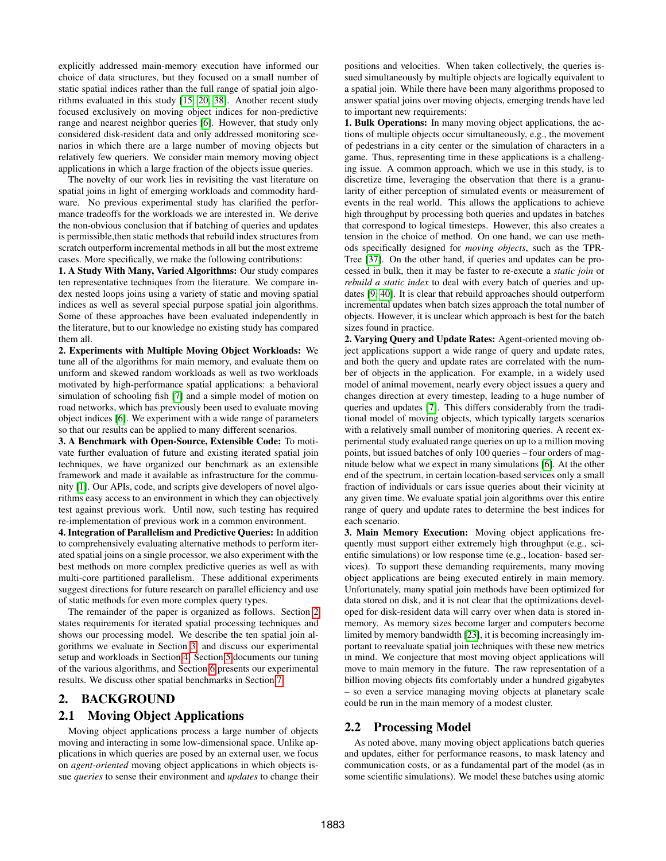explicitly addressed main-memory execution have informed our choice of data structures, but they focused on a small number of static spatial indices rather than the full range of spatial join algorithms evaluated in this study [\[15,](#page-11-18) [20,](#page-11-19) [38\]](#page-11-13). Another recent study focused exclusively on moving object indices for non-predictive range and nearest neighbor queries [\[6\]](#page-11-20). However, that study only considered disk-resident data and only addressed monitoring scenarios in which there are a large number of moving objects but relatively few queriers. We consider main memory moving object applications in which a large fraction of the objects issue queries.

The novelty of our work lies in revisiting the vast literature on spatial joins in light of emerging workloads and commodity hardware. No previous experimental study has clarified the performance tradeoffs for the workloads we are interested in. We derive the non-obvious conclusion that if batching of queries and updates is permissible,then static methods that rebuild index structures from scratch outperform incremental methods in all but the most extreme cases. More specifically, we make the following contributions:

1. A Study With Many, Varied Algorithms: Our study compares ten representative techniques from the literature. We compare index nested loops joins using a variety of static and moving spatial indices as well as several special purpose spatial join algorithms. Some of these approaches have been evaluated independently in the literature, but to our knowledge no existing study has compared them all.

2. Experiments with Multiple Moving Object Workloads: We tune all of the algorithms for main memory, and evaluate them on uniform and skewed random workloads as well as two workloads motivated by high-performance spatial applications: a behavioral simulation of schooling fish [\[7\]](#page-11-21) and a simple model of motion on road networks, which has previously been used to evaluate moving object indices [\[6\]](#page-11-20). We experiment with a wide range of parameters so that our results can be applied to many different scenarios.

3. A Benchmark with Open-Source, Extensible Code: To motivate further evaluation of future and existing iterated spatial join techniques, we have organized our benchmark as an extensible framework and made it available as infrastructure for the community [\[1\]](#page-11-22). Our APIs, code, and scripts give developers of novel algorithms easy access to an environment in which they can objectively test against previous work. Until now, such testing has required re-implementation of previous work in a common environment.

4. Integration of Parallelism and Predictive Queries: In addition to comprehensively evaluating alternative methods to perform iterated spatial joins on a single processor, we also experiment with the best methods on more complex predictive queries as well as with multi-core partitioned parallelism. These additional experiments suggest directions for future research on parallel efficiency and use of static methods for even more complex query types.

The remainder of the paper is organized as follows. Section [2](#page-1-0) states requirements for iterated spatial processing techniques and shows our processing model. We describe the ten spatial join algorithms we evaluate in Section [3,](#page-2-0) and discuss our experimental setup and workloads in Section [4.](#page-3-0) Section [5](#page-5-0) documents our tuning of the various algorithms, and Section [6](#page-6-0) presents our experimental results. We discuss other spatial benchmarks in Section [7.](#page-10-0)

## <span id="page-1-0"></span>2. BACKGROUND

## <span id="page-1-1"></span>2.1 Moving Object Applications

Moving object applications process a large number of objects moving and interacting in some low-dimensional space. Unlike applications in which queries are posed by an external user, we focus on *agent-oriented* moving object applications in which objects issue *queries* to sense their environment and *updates* to change their

positions and velocities. When taken collectively, the queries issued simultaneously by multiple objects are logically equivalent to a spatial join. While there have been many algorithms proposed to answer spatial joins over moving objects, emerging trends have led to important new requirements:

1. Bulk Operations: In many moving object applications, the actions of multiple objects occur simultaneously, e.g., the movement of pedestrians in a city center or the simulation of characters in a game. Thus, representing time in these applications is a challenging issue. A common approach, which we use in this study, is to discretize time, leveraging the observation that there is a granularity of either perception of simulated events or measurement of events in the real world. This allows the applications to achieve high throughput by processing both queries and updates in batches that correspond to logical timesteps. However, this also creates a tension in the choice of method. On one hand, we can use methods specifically designed for *moving objects*, such as the TPR-Tree [\[37\]](#page-11-12). On the other hand, if queries and updates can be processed in bulk, then it may be faster to re-execute a *static join* or *rebuild a static index* to deal with every batch of queries and updates [\[9,](#page-11-5) [40\]](#page-11-1). It is clear that rebuild approaches should outperform incremental updates when batch sizes approach the total number of objects. However, it is unclear which approach is best for the batch sizes found in practice.

2. Varying Query and Update Rates: Agent-oriented moving object applications support a wide range of query and update rates, and both the query and update rates are correlated with the number of objects in the application. For example, in a widely used model of animal movement, nearly every object issues a query and changes direction at every timestep, leading to a huge number of queries and updates [\[7\]](#page-11-21). This differs considerably from the traditional model of moving objects, which typically targets scenarios with a relatively small number of monitoring queries. A recent experimental study evaluated range queries on up to a million moving points, but issued batches of only 100 queries – four orders of magnitude below what we expect in many simulations [\[6\]](#page-11-20). At the other end of the spectrum, in certain location-based services only a small fraction of individuals or cars issue queries about their vicinity at any given time. We evaluate spatial join algorithms over this entire range of query and update rates to determine the best indices for each scenario.

3. Main Memory Execution: Moving object applications frequently must support either extremely high throughput (e.g., scientific simulations) or low response time (e.g., location- based services). To support these demanding requirements, many moving object applications are being executed entirely in main memory. Unfortunately, many spatial join methods have been optimized for data stored on disk, and it is not clear that the optimizations developed for disk-resident data will carry over when data is stored inmemory. As memory sizes become larger and computers become limited by memory bandwidth [\[23\]](#page-11-23), it is becoming increasingly important to reevaluate spatial join techniques with these new metrics in mind. We conjecture that most moving object applications will move to main memory in the future. The raw representation of a billion moving objects fits comfortably under a hundred gigabytes – so even a service managing moving objects at planetary scale could be run in the main memory of a modest cluster.

## 2.2 Processing Model

As noted above, many moving object applications batch queries and updates, either for performance reasons, to mask latency and communication costs, or as a fundamental part of the model (as in some scientific simulations). We model these batches using atomic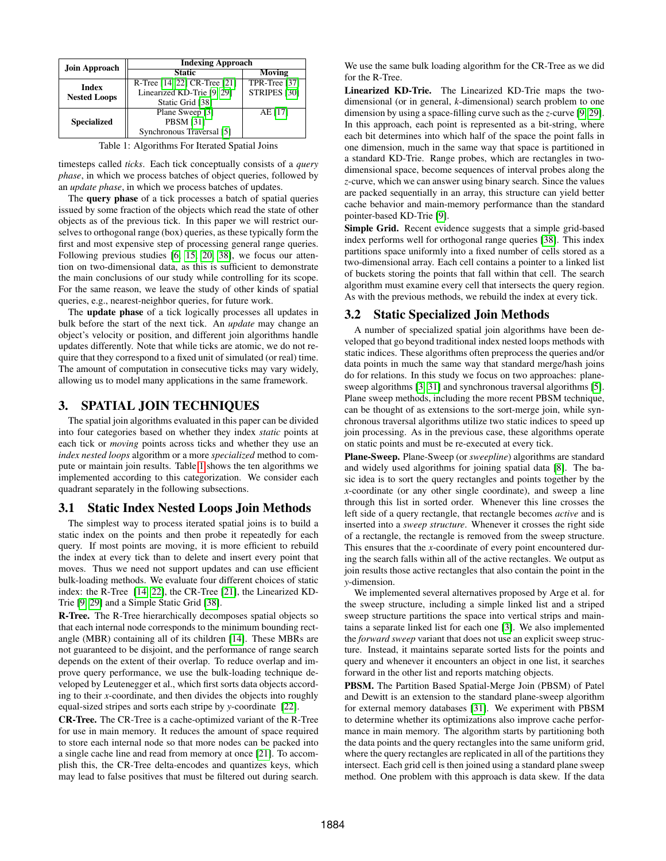<span id="page-2-1"></span>

| <b>Join Approach</b> | <b>Indexing Approach</b>     |                         |  |  |  |
|----------------------|------------------------------|-------------------------|--|--|--|
|                      | <b>Static</b>                | Moving                  |  |  |  |
| <b>Index</b>         | R-Tree [14, 22] CR-Tree [21] | TPR-Tree [37]           |  |  |  |
| <b>Nested Loops</b>  | Linearized KD-Trie [9, 29]   | STRIPES <sup>[30]</sup> |  |  |  |
|                      | Static Grid [38]             |                         |  |  |  |
|                      | Plane Sweep [3]              | AE [17]                 |  |  |  |
| <b>Specialized</b>   | <b>PBSM [31]</b>             |                         |  |  |  |
|                      | Synchronous Traversal [5]    |                         |  |  |  |

Table 1: Algorithms For Iterated Spatial Joins

timesteps called *ticks*. Each tick conceptually consists of a *query phase*, in which we process batches of object queries, followed by an *update phase*, in which we process batches of updates.

The query phase of a tick processes a batch of spatial queries issued by some fraction of the objects which read the state of other objects as of the previous tick. In this paper we will restrict ourselves to orthogonal range (box) queries, as these typically form the first and most expensive step of processing general range queries. Following previous studies [\[6,](#page-11-20) [15,](#page-11-18) [20,](#page-11-19) [38\]](#page-11-13), we focus our attention on two-dimensional data, as this is sufficient to demonstrate the main conclusions of our study while controlling for its scope. For the same reason, we leave the study of other kinds of spatial queries, e.g., nearest-neighbor queries, for future work.

The update phase of a tick logically processes all updates in bulk before the start of the next tick. An *update* may change an object's velocity or position, and different join algorithms handle updates differently. Note that while ticks are atomic, we do not require that they correspond to a fixed unit of simulated (or real) time. The amount of computation in consecutive ticks may vary widely, allowing us to model many applications in the same framework.

## <span id="page-2-0"></span>3. SPATIAL JOIN TECHNIQUES

The spatial join algorithms evaluated in this paper can be divided into four categories based on whether they index *static* points at each tick or *moving* points across ticks and whether they use an *index nested loops* algorithm or a more *specialized* method to compute or maintain join results. Table [1](#page-2-1) shows the ten algorithms we implemented according to this categorization. We consider each quadrant separately in the following subsections.

## 3.1 Static Index Nested Loops Join Methods

The simplest way to process iterated spatial joins is to build a static index on the points and then probe it repeatedly for each query. If most points are moving, it is more efficient to rebuild the index at every tick than to delete and insert every point that moves. Thus we need not support updates and can use efficient bulk-loading methods. We evaluate four different choices of static index: the R-Tree [\[14,](#page-11-7) [22\]](#page-11-9), the CR-Tree [\[21\]](#page-11-8), the Linearized KD-Trie [\[9,](#page-11-5) [29\]](#page-11-10) and a Simple Static Grid [\[38\]](#page-11-13).

R-Tree. The R-Tree hierarchically decomposes spatial objects so that each internal node corresponds to the minimum bounding rectangle (MBR) containing all of its children [\[14\]](#page-11-7). These MBRs are not guaranteed to be disjoint, and the performance of range search depends on the extent of their overlap. To reduce overlap and improve query performance, we use the bulk-loading technique developed by Leutenegger et al., which first sorts data objects according to their *x*-coordinate, and then divides the objects into roughly equal-sized stripes and sorts each stripe by *y*-coordinate [\[22\]](#page-11-9).

CR-Tree. The CR-Tree is a cache-optimized variant of the R-Tree for use in main memory. It reduces the amount of space required to store each internal node so that more nodes can be packed into a single cache line and read from memory at once [\[21\]](#page-11-8). To accomplish this, the CR-Tree delta-encodes and quantizes keys, which may lead to false positives that must be filtered out during search.

We use the same bulk loading algorithm for the CR-Tree as we did for the R-Tree.

Linearized KD-Trie. The Linearized KD-Trie maps the twodimensional (or in general, *k*-dimensional) search problem to one dimension by using a space-filling curve such as the *z*-curve [\[9,](#page-11-5) [29\]](#page-11-10). In this approach, each point is represented as a bit-string, where each bit determines into which half of the space the point falls in one dimension, much in the same way that space is partitioned in a standard KD-Trie. Range probes, which are rectangles in twodimensional space, become sequences of interval probes along the *z*-curve, which we can answer using binary search. Since the values are packed sequentially in an array, this structure can yield better cache behavior and main-memory performance than the standard pointer-based KD-Trie [\[9\]](#page-11-5).

Simple Grid. Recent evidence suggests that a simple grid-based index performs well for orthogonal range queries [\[38\]](#page-11-13). This index partitions space uniformly into a fixed number of cells stored as a two-dimensional array. Each cell contains a pointer to a linked list of buckets storing the points that fall within that cell. The search algorithm must examine every cell that intersects the query region. As with the previous methods, we rebuild the index at every tick.

## 3.2 Static Specialized Join Methods

A number of specialized spatial join algorithms have been developed that go beyond traditional index nested loops methods with static indices. These algorithms often preprocess the queries and/or data points in much the same way that standard merge/hash joins do for relations. In this study we focus on two approaches: planesweep algorithms [\[3,](#page-11-14) [31\]](#page-11-17) and synchronous traversal algorithms [\[5\]](#page-11-15). Plane sweep methods, including the more recent PBSM technique, can be thought of as extensions to the sort-merge join, while synchronous traversal algorithms utilize two static indices to speed up join processing. As in the previous case, these algorithms operate on static points and must be re-executed at every tick.

Plane-Sweep. Plane-Sweep (or *sweepline*) algorithms are standard and widely used algorithms for joining spatial data [\[8\]](#page-11-24). The basic idea is to sort the query rectangles and points together by the *x*-coordinate (or any other single coordinate), and sweep a line through this list in sorted order. Whenever this line crosses the left side of a query rectangle, that rectangle becomes *active* and is inserted into a *sweep structure*. Whenever it crosses the right side of a rectangle, the rectangle is removed from the sweep structure. This ensures that the *x*-coordinate of every point encountered during the search falls within all of the active rectangles. We output as join results those active rectangles that also contain the point in the *y*-dimension.

We implemented several alternatives proposed by Arge et al. for the sweep structure, including a simple linked list and a striped sweep structure partitions the space into vertical strips and maintains a separate linked list for each one [\[3\]](#page-11-14). We also implemented the *forward sweep* variant that does not use an explicit sweep structure. Instead, it maintains separate sorted lists for the points and query and whenever it encounters an object in one list, it searches forward in the other list and reports matching objects.

PBSM. The Partition Based Spatial-Merge Join (PBSM) of Patel and Dewitt is an extension to the standard plane-sweep algorithm for external memory databases [\[31\]](#page-11-17). We experiment with PBSM to determine whether its optimizations also improve cache performance in main memory. The algorithm starts by partitioning both the data points and the query rectangles into the same uniform grid, where the query rectangles are replicated in all of the partitions they intersect. Each grid cell is then joined using a standard plane sweep method. One problem with this approach is data skew. If the data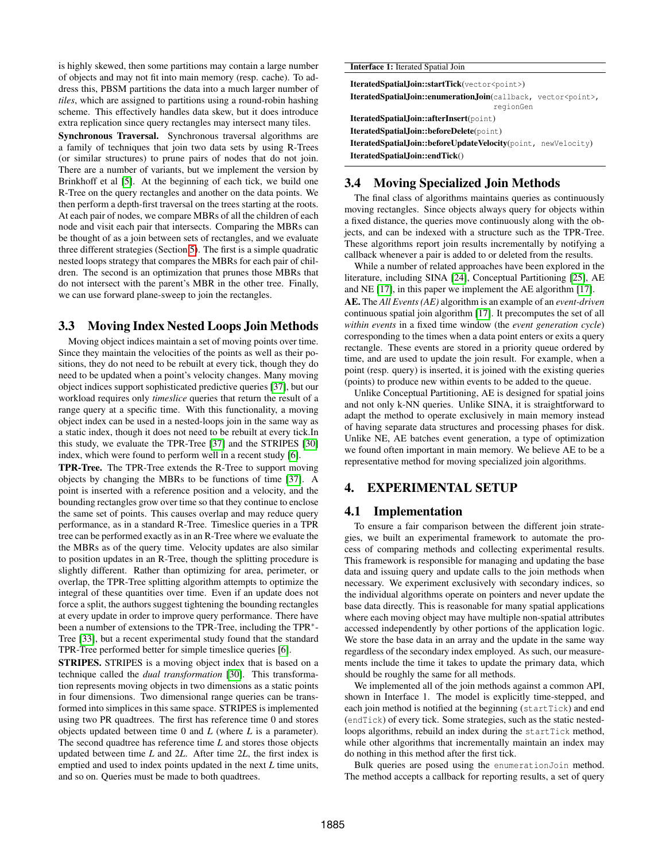is highly skewed, then some partitions may contain a large number of objects and may not fit into main memory (resp. cache). To address this, PBSM partitions the data into a much larger number of *tiles*, which are assigned to partitions using a round-robin hashing scheme. This effectively handles data skew, but it does introduce extra replication since query rectangles may intersect many tiles.

Synchronous Traversal. Synchronous traversal algorithms are a family of techniques that join two data sets by using R-Trees (or similar structures) to prune pairs of nodes that do not join. There are a number of variants, but we implement the version by Brinkhoff et al [\[5\]](#page-11-15). At the beginning of each tick, we build one R-Tree on the query rectangles and another on the data points. We then perform a depth-first traversal on the trees starting at the roots. At each pair of nodes, we compare MBRs of all the children of each node and visit each pair that intersects. Comparing the MBRs can be thought of as a join between sets of rectangles, and we evaluate three different strategies (Section [5\)](#page-5-0). The first is a simple quadratic nested loops strategy that compares the MBRs for each pair of children. The second is an optimization that prunes those MBRs that do not intersect with the parent's MBR in the other tree. Finally, we can use forward plane-sweep to join the rectangles.

## <span id="page-3-1"></span>3.3 Moving Index Nested Loops Join Methods

Moving object indices maintain a set of moving points over time. Since they maintain the velocities of the points as well as their positions, they do not need to be rebuilt at every tick, though they do need to be updated when a point's velocity changes. Many moving object indices support sophisticated predictive queries [\[37\]](#page-11-12), but our workload requires only *timeslice* queries that return the result of a range query at a specific time. With this functionality, a moving object index can be used in a nested-loops join in the same way as a static index, though it does not need to be rebuilt at every tick.In this study, we evaluate the TPR-Tree [\[37\]](#page-11-12) and the STRIPES [\[30\]](#page-11-11) index, which were found to perform well in a recent study [\[6\]](#page-11-20).

TPR-Tree. The TPR-Tree extends the R-Tree to support moving objects by changing the MBRs to be functions of time [\[37\]](#page-11-12). A point is inserted with a reference position and a velocity, and the bounding rectangles grow over time so that they continue to enclose the same set of points. This causes overlap and may reduce query performance, as in a standard R-Tree. Timeslice queries in a TPR tree can be performed exactly as in an R-Tree where we evaluate the the MBRs as of the query time. Velocity updates are also similar to position updates in an R-Tree, though the splitting procedure is slightly different. Rather than optimizing for area, perimeter, or overlap, the TPR-Tree splitting algorithm attempts to optimize the integral of these quantities over time. Even if an update does not force a split, the authors suggest tightening the bounding rectangles at every update in order to improve query performance. There have been a number of extensions to the TPR-Tree, including the TPR<sup>∗</sup>-Tree [\[33\]](#page-11-25), but a recent experimental study found that the standard TPR-Tree performed better for simple timeslice queries [\[6\]](#page-11-20).

STRIPES. STRIPES is a moving object index that is based on a technique called the *dual transformation* [\[30\]](#page-11-11). This transformation represents moving objects in two dimensions as a static points in four dimensions. Two dimensional range queries can be transformed into simplices in this same space. STRIPES is implemented using two PR quadtrees. The first has reference time 0 and stores objects updated between time 0 and *L* (where *L* is a parameter). The second quadtree has reference time *L* and stores those objects updated between time *L* and 2*L*. After time 2*L*, the first index is emptied and used to index points updated in the next *L* time units, and so on. Queries must be made to both quadtrees.

| <b>Interface 1:</b> Iterated Spatial Join                                            |
|--------------------------------------------------------------------------------------|
| <b>IteratedSpatial,Join::startTick</b> (vector <point>)</point>                      |
| IteratedSpatialJoin::enumerationJoin(callback, vector <point>,<br/>regionGen</point> |
| IteratedSpatial,Join::afterInsert(point)                                             |
| IteratedSpatialJoin::beforeDelete(point)                                             |
| <b>IteratedSpatial,Join::beforeUpdateVelocity</b> (point, newVelocity)               |
| IteratedSpatial,Join::endTick()                                                      |

## <span id="page-3-2"></span>3.4 Moving Specialized Join Methods

The final class of algorithms maintains queries as continuously moving rectangles. Since objects always query for objects within a fixed distance, the queries move continuously along with the objects, and can be indexed with a structure such as the TPR-Tree. These algorithms report join results incrementally by notifying a callback whenever a pair is added to or deleted from the results.

While a number of related approaches have been explored in the literature, including SINA [\[24\]](#page-11-26), Conceptual Partitioning [\[25\]](#page-11-27), AE and NE [\[17\]](#page-11-16), in this paper we implement the AE algorithm [\[17\]](#page-11-16). AE. The *All Events (AE)* algorithm is an example of an *event-driven* continuous spatial join algorithm [\[17\]](#page-11-16). It precomputes the set of all *within events* in a fixed time window (the *event generation cycle*) corresponding to the times when a data point enters or exits a query rectangle. These events are stored in a priority queue ordered by time, and are used to update the join result. For example, when a point (resp. query) is inserted, it is joined with the existing queries (points) to produce new within events to be added to the queue.

Unlike Conceptual Partitioning, AE is designed for spatial joins and not only k-NN queries. Unlike SINA, it is straightforward to adapt the method to operate exclusively in main memory instead of having separate data structures and processing phases for disk. Unlike NE, AE batches event generation, a type of optimization we found often important in main memory. We believe AE to be a representative method for moving specialized join algorithms.

## <span id="page-3-0"></span>4. EXPERIMENTAL SETUP

## 4.1 Implementation

To ensure a fair comparison between the different join strategies, we built an experimental framework to automate the process of comparing methods and collecting experimental results. This framework is responsible for managing and updating the base data and issuing query and update calls to the join methods when necessary. We experiment exclusively with secondary indices, so the individual algorithms operate on pointers and never update the base data directly. This is reasonable for many spatial applications where each moving object may have multiple non-spatial attributes accessed independently by other portions of the application logic. We store the base data in an array and the update in the same way regardless of the secondary index employed. As such, our measurements include the time it takes to update the primary data, which should be roughly the same for all methods.

We implemented all of the join methods against a common API, shown in Interface 1. The model is explicitly time-stepped, and each join method is notified at the beginning (startTick) and end (endTick) of every tick. Some strategies, such as the static nestedloops algorithms, rebuild an index during the startTick method, while other algorithms that incrementally maintain an index may do nothing in this method after the first tick.

Bulk queries are posed using the enumerationJoin method. The method accepts a callback for reporting results, a set of query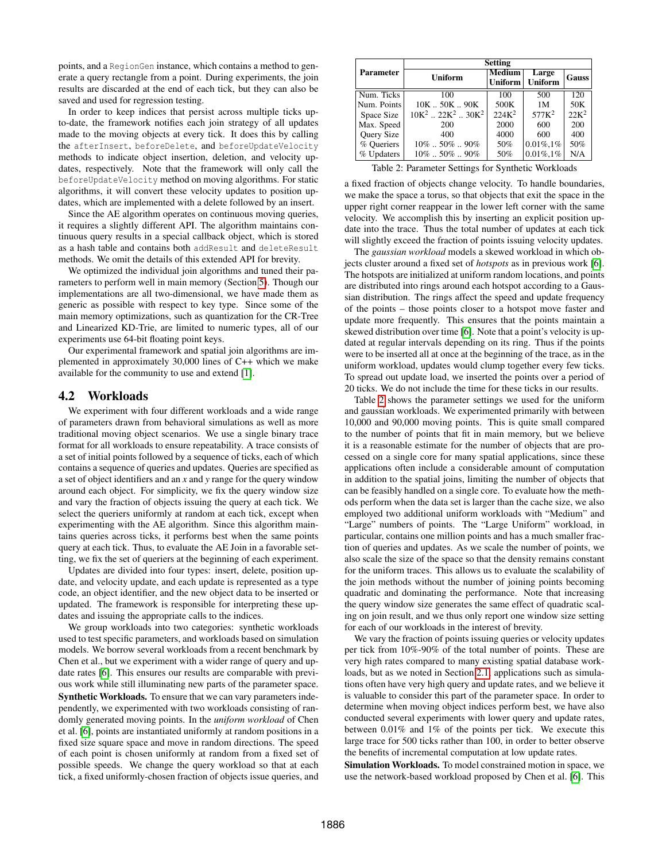points, and a RegionGen instance, which contains a method to generate a query rectangle from a point. During experiments, the join results are discarded at the end of each tick, but they can also be saved and used for regression testing.

In order to keep indices that persist across multiple ticks upto-date, the framework notifies each join strategy of all updates made to the moving objects at every tick. It does this by calling the afterInsert, beforeDelete, and beforeUpdateVelocity methods to indicate object insertion, deletion, and velocity updates, respectively. Note that the framework will only call the beforeUpdateVelocity method on moving algorithms. For static algorithms, it will convert these velocity updates to position updates, which are implemented with a delete followed by an insert.

Since the AE algorithm operates on continuous moving queries, it requires a slightly different API. The algorithm maintains continuous query results in a special callback object, which is stored as a hash table and contains both addResult and deleteResult methods. We omit the details of this extended API for brevity.

We optimized the individual join algorithms and tuned their parameters to perform well in main memory (Section [5\)](#page-5-0). Though our implementations are all two-dimensional, we have made them as generic as possible with respect to key type. Since some of the main memory optimizations, such as quantization for the CR-Tree and Linearized KD-Trie, are limited to numeric types, all of our experiments use 64-bit floating point keys.

Our experimental framework and spatial join algorithms are implemented in approximately 30,000 lines of C++ which we make available for the community to use and extend [\[1\]](#page-11-22).

## <span id="page-4-1"></span>4.2 Workloads

We experiment with four different workloads and a wide range of parameters drawn from behavioral simulations as well as more traditional moving object scenarios. We use a single binary trace format for all workloads to ensure repeatability. A trace consists of a set of initial points followed by a sequence of ticks, each of which contains a sequence of queries and updates. Queries are specified as a set of object identifiers and an *x* and *y* range for the query window around each object. For simplicity, we fix the query window size and vary the fraction of objects issuing the query at each tick. We select the queriers uniformly at random at each tick, except when experimenting with the AE algorithm. Since this algorithm maintains queries across ticks, it performs best when the same points query at each tick. Thus, to evaluate the AE Join in a favorable setting, we fix the set of queriers at the beginning of each experiment.

Updates are divided into four types: insert, delete, position update, and velocity update, and each update is represented as a type code, an object identifier, and the new object data to be inserted or updated. The framework is responsible for interpreting these updates and issuing the appropriate calls to the indices.

We group workloads into two categories: synthetic workloads used to test specific parameters, and workloads based on simulation models. We borrow several workloads from a recent benchmark by Chen et al., but we experiment with a wider range of query and update rates [\[6\]](#page-11-20). This ensures our results are comparable with previous work while still illuminating new parts of the parameter space. Synthetic Workloads. To ensure that we can vary parameters independently, we experimented with two workloads consisting of randomly generated moving points. In the *uniform workload* of Chen et al. [\[6\]](#page-11-20), points are instantiated uniformly at random positions in a fixed size square space and move in random directions. The speed of each point is chosen uniformly at random from a fixed set of possible speeds. We change the query workload so that at each tick, a fixed uniformly-chosen fraction of objects issue queries, and

<span id="page-4-0"></span>

|                  | <b>Setting</b>                   |                                 |                   |         |  |  |
|------------------|----------------------------------|---------------------------------|-------------------|---------|--|--|
| <b>Parameter</b> | Uniform                          | <b>Medium</b><br><b>Uniform</b> | Large<br>Uniform  | Gauss   |  |  |
| Num. Ticks       | 100                              | 100                             | 500               | 120     |  |  |
| Num. Points      | $10K$ $50K$ $90K$                | 500K                            | 1M                | 50K     |  |  |
| Space Size       | $10K^2$ $22K^2$ $30K^2$          | $224K^2$                        | 577K <sup>2</sup> | $22K^2$ |  |  |
| Max. Speed       | 200                              | 2000                            | 600               | 200     |  |  |
| Query Size       | 400                              | 4000                            | 600               | 400     |  |  |
| % Oueriers       | $10\%$ $\ldots$ 50% $\ldots$ 90% | 50%                             | $0.01\%, 1\%$     | 50%     |  |  |
| % Updaters       | $10\%$ 50%  90%                  | 50%                             | $0.01\%, 1\%$     | N/A     |  |  |

Table 2: Parameter Settings for Synthetic Workloads

a fixed fraction of objects change velocity. To handle boundaries, we make the space a torus, so that objects that exit the space in the upper right corner reappear in the lower left corner with the same velocity. We accomplish this by inserting an explicit position update into the trace. Thus the total number of updates at each tick will slightly exceed the fraction of points issuing velocity updates.

The *gaussian workload* models a skewed workload in which objects cluster around a fixed set of *hotspots* as in previous work [\[6\]](#page-11-20). The hotspots are initialized at uniform random locations, and points are distributed into rings around each hotspot according to a Gaussian distribution. The rings affect the speed and update frequency of the points – those points closer to a hotspot move faster and update more frequently. This ensures that the points maintain a skewed distribution over time [\[6\]](#page-11-20). Note that a point's velocity is updated at regular intervals depending on its ring. Thus if the points were to be inserted all at once at the beginning of the trace, as in the uniform workload, updates would clump together every few ticks. To spread out update load, we inserted the points over a period of 20 ticks. We do not include the time for these ticks in our results.

Table [2](#page-4-0) shows the parameter settings we used for the uniform and gaussian workloads. We experimented primarily with between 10,000 and 90,000 moving points. This is quite small compared to the number of points that fit in main memory, but we believe it is a reasonable estimate for the number of objects that are processed on a single core for many spatial applications, since these applications often include a considerable amount of computation in addition to the spatial joins, limiting the number of objects that can be feasibly handled on a single core. To evaluate how the methods perform when the data set is larger than the cache size, we also employed two additional uniform workloads with "Medium" and "Large" numbers of points. The "Large Uniform" workload, in particular, contains one million points and has a much smaller fraction of queries and updates. As we scale the number of points, we also scale the size of the space so that the density remains constant for the uniform traces. This allows us to evaluate the scalability of the join methods without the number of joining points becoming quadratic and dominating the performance. Note that increasing the query window size generates the same effect of quadratic scaling on join result, and we thus only report one window size setting for each of our workloads in the interest of brevity.

We vary the fraction of points issuing queries or velocity updates per tick from 10%-90% of the total number of points. These are very high rates compared to many existing spatial database workloads, but as we noted in Section [2.1,](#page-1-1) applications such as simulations often have very high query and update rates, and we believe it is valuable to consider this part of the parameter space. In order to determine when moving object indices perform best, we have also conducted several experiments with lower query and update rates, between 0.01% and 1% of the points per tick. We execute this large trace for 500 ticks rather than 100, in order to better observe the benefits of incremental computation at low update rates.

Simulation Workloads. To model constrained motion in space, we use the network-based workload proposed by Chen et al. [\[6\]](#page-11-20). This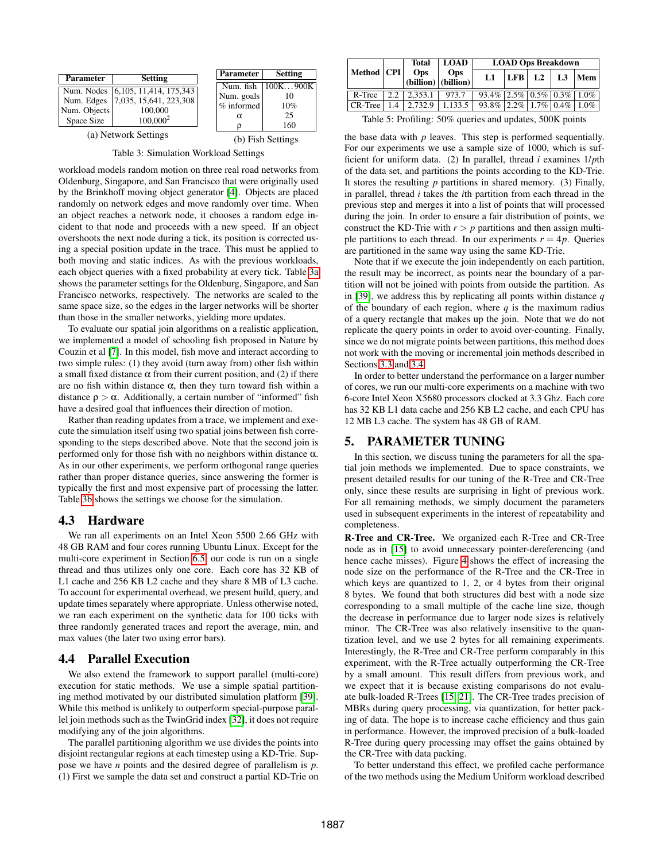<span id="page-5-1"></span>

| <b>Parameter</b>           | <b>Setting</b>                                                                                       | <b>Parameter</b>                | <b>Setting</b>                           |
|----------------------------|------------------------------------------------------------------------------------------------------|---------------------------------|------------------------------------------|
| Num. Objects<br>Space Size | Num. Nodes $ 6,105, 11,414, 175,343 $<br>Num. Edges 7,035, 15,641, 223,308<br>100,000<br>$100,000^2$ | Num. goals<br>$%$ informed<br>α | Num. fish   100K900K<br>10%<br>25<br>160 |
|                            | $\sqrt{N}$                                                                                           |                                 |                                          |

(a) Network Settings

<span id="page-5-2"></span>(b) Fish Settings

Table 3: Simulation Workload Settings

workload models random motion on three real road networks from Oldenburg, Singapore, and San Francisco that were originally used by the Brinkhoff moving object generator [\[4\]](#page-11-28). Objects are placed randomly on network edges and move randomly over time. When an object reaches a network node, it chooses a random edge incident to that node and proceeds with a new speed. If an object overshoots the next node during a tick, its position is corrected using a special position update in the trace. This must be applied to both moving and static indices. As with the previous workloads, each object queries with a fixed probability at every tick. Table [3a](#page-5-1) shows the parameter settings for the Oldenburg, Singapore, and San Francisco networks, respectively. The networks are scaled to the same space size, so the edges in the larger networks will be shorter than those in the smaller networks, yielding more updates.

To evaluate our spatial join algorithms on a realistic application, we implemented a model of schooling fish proposed in Nature by Couzin et al [\[7\]](#page-11-21). In this model, fish move and interact according to two simple rules: (1) they avoid (turn away from) other fish within a small fixed distance  $\alpha$  from their current position, and (2) if there are no fish within distance  $\alpha$ , then they turn toward fish within a distance  $\rho > \alpha$ . Additionally, a certain number of "informed" fish have a desired goal that influences their direction of motion.

Rather than reading updates from a trace, we implement and execute the simulation itself using two spatial joins between fish corresponding to the steps described above. Note that the second join is performed only for those fish with no neighbors within distance α. As in our other experiments, we perform orthogonal range queries rather than proper distance queries, since answering the former is typically the first and most expensive part of processing the latter. Table [3b](#page-5-2) shows the settings we choose for the simulation.

#### 4.3 Hardware

We ran all experiments on an Intel Xeon 5500 2.66 GHz with 48 GB RAM and four cores running Ubuntu Linux. Except for the multi-core experiment in Section [6.5,](#page-9-0) our code is run on a single thread and thus utilizes only one core. Each core has 32 KB of L1 cache and 256 KB L2 cache and they share 8 MB of L3 cache. To account for experimental overhead, we present build, query, and update times separately where appropriate. Unless otherwise noted, we ran each experiment on the synthetic data for 100 ticks with three randomly generated traces and report the average, min, and max values (the later two using error bars).

#### <span id="page-5-4"></span>4.4 Parallel Execution

We also extend the framework to support parallel (multi-core) execution for static methods. We use a simple spatial partitioning method motivated by our distributed simulation platform [\[39\]](#page-11-4). While this method is unlikely to outperform special-purpose parallel join methods such as the TwinGrid index [\[32\]](#page-11-6), it does not require modifying any of the join algorithms.

The parallel partitioning algorithm we use divides the points into disjoint rectangular regions at each timestep using a KD-Trie. Suppose we have *n* points and the desired degree of parallelism is *p*. (1) First we sample the data set and construct a partial KD-Trie on

<span id="page-5-3"></span>

|              |    | Total<br>Ops<br>$(billion)$ (billion) | <b>LOAD</b> | <b>LOAD Ops Breakdown</b>        |  |                               |  |         |
|--------------|----|---------------------------------------|-------------|----------------------------------|--|-------------------------------|--|---------|
| Method   CPI |    |                                       | <b>Ops</b>  | L1.                              |  | $ {\rm LFB} $ L2 $ {\rm L3} $ |  | Mem     |
| R-Tree       |    | $2.2$   $2.353.1$                     | 973.7       | $93.4\%$ 2.5% 0.5% 0.3% 1.0%     |  |                               |  |         |
| CR-Tree      | 14 | 2.732.9                               | 1.133.5     | $93.8\%$   2.2\%   1.7\%   0.4\% |  |                               |  | $1.0\%$ |

Table 5: Profiling: 50% queries and updates, 500K points

the base data with  $p$  leaves. This step is performed sequentially. For our experiments we use a sample size of 1000, which is sufficient for uniform data. (2) In parallel, thread *i* examines 1/*p*th of the data set, and partitions the points according to the KD-Trie. It stores the resulting *p* partitions in shared memory. (3) Finally, in parallel, thread *i* takes the *i*th partition from each thread in the previous step and merges it into a list of points that will processed during the join. In order to ensure a fair distribution of points, we construct the KD-Trie with  $r > p$  partitions and then assign multiple partitions to each thread. In our experiments  $r = 4p$ . Queries are partitioned in the same way using the same KD-Trie.

Note that if we execute the join independently on each partition, the result may be incorrect, as points near the boundary of a partition will not be joined with points from outside the partition. As in [\[39\]](#page-11-4), we address this by replicating all points within distance *q* of the boundary of each region, where  $q$  is the maximum radius of a query rectangle that makes up the join. Note that we do not replicate the query points in order to avoid over-counting. Finally, since we do not migrate points between partitions, this method does not work with the moving or incremental join methods described in Sections [3.3](#page-3-1) and [3.4.](#page-3-2)

In order to better understand the performance on a larger number of cores, we run our multi-core experiments on a machine with two 6-core Intel Xeon X5680 processors clocked at 3.3 Ghz. Each core has 32 KB L1 data cache and 256 KB L2 cache, and each CPU has 12 MB L3 cache. The system has 48 GB of RAM.

## <span id="page-5-0"></span>5. PARAMETER TUNING

In this section, we discuss tuning the parameters for all the spatial join methods we implemented. Due to space constraints, we present detailed results for our tuning of the R-Tree and CR-Tree only, since these results are surprising in light of previous work. For all remaining methods, we simply document the parameters used in subsequent experiments in the interest of repeatability and completeness.

R-Tree and CR-Tree. We organized each R-Tree and CR-Tree node as in [\[15\]](#page-11-18) to avoid unnecessary pointer-dereferencing (and hence cache misses). Figure [4](#page-6-1) shows the effect of increasing the node size on the performance of the R-Tree and the CR-Tree in which keys are quantized to 1, 2, or 4 bytes from their original 8 bytes. We found that both structures did best with a node size corresponding to a small multiple of the cache line size, though the decrease in performance due to larger node sizes is relatively minor. The CR-Tree was also relatively insensitive to the quantization level, and we use 2 bytes for all remaining experiments. Interestingly, the R-Tree and CR-Tree perform comparably in this experiment, with the R-Tree actually outperforming the CR-Tree by a small amount. This result differs from previous work, and we expect that it is because existing comparisons do not evaluate bulk-loaded R-Trees [\[15,](#page-11-18) [21\]](#page-11-8). The CR-Tree trades precision of MBRs during query processing, via quantization, for better packing of data. The hope is to increase cache efficiency and thus gain in performance. However, the improved precision of a bulk-loaded R-Tree during query processing may offset the gains obtained by the CR-Tree with data packing.

To better understand this effect, we profiled cache performance of the two methods using the Medium Uniform workload described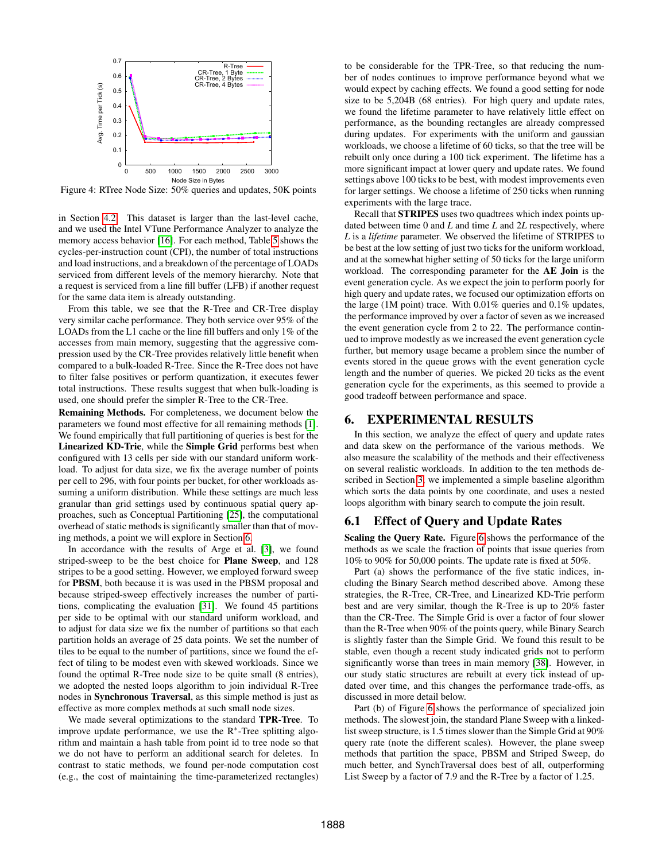<span id="page-6-1"></span>

Figure 4: RTree Node Size: 50% queries and updates, 50K points

in Section [4.2.](#page-4-1) This dataset is larger than the last-level cache, and we used the Intel VTune Performance Analyzer to analyze the memory access behavior [\[16\]](#page-11-29). For each method, Table [5](#page-5-3) shows the cycles-per-instruction count (CPI), the number of total instructions and load instructions, and a breakdown of the percentage of LOADs serviced from different levels of the memory hierarchy. Note that a request is serviced from a line fill buffer (LFB) if another request for the same data item is already outstanding.

From this table, we see that the R-Tree and CR-Tree display very similar cache performance. They both service over 95% of the LOADs from the L1 cache or the line fill buffers and only 1% of the accesses from main memory, suggesting that the aggressive compression used by the CR-Tree provides relatively little benefit when compared to a bulk-loaded R-Tree. Since the R-Tree does not have to filter false positives or perform quantization, it executes fewer total instructions. These results suggest that when bulk-loading is used, one should prefer the simpler R-Tree to the CR-Tree.

Remaining Methods. For completeness, we document below the parameters we found most effective for all remaining methods [\[1\]](#page-11-22). We found empirically that full partitioning of queries is best for the Linearized KD-Trie, while the Simple Grid performs best when configured with 13 cells per side with our standard uniform workload. To adjust for data size, we fix the average number of points per cell to 296, with four points per bucket, for other workloads assuming a uniform distribution. While these settings are much less granular than grid settings used by continuous spatial query approaches, such as Conceptual Partitioning [\[25\]](#page-11-27), the computational overhead of static methods is significantly smaller than that of moving methods, a point we will explore in Section [6.](#page-6-0)

In accordance with the results of Arge et al. [\[3\]](#page-11-14), we found striped-sweep to be the best choice for Plane Sweep, and 128 stripes to be a good setting. However, we employed forward sweep for PBSM, both because it is was used in the PBSM proposal and because striped-sweep effectively increases the number of partitions, complicating the evaluation [\[31\]](#page-11-17). We found 45 partitions per side to be optimal with our standard uniform workload, and to adjust for data size we fix the number of partitions so that each partition holds an average of 25 data points. We set the number of tiles to be equal to the number of partitions, since we found the effect of tiling to be modest even with skewed workloads. Since we found the optimal R-Tree node size to be quite small (8 entries), we adopted the nested loops algorithm to join individual R-Tree nodes in Synchronous Traversal, as this simple method is just as effective as more complex methods at such small node sizes.

We made several optimizations to the standard TPR-Tree. To improve update performance, we use the R<sup>∗</sup> -Tree splitting algorithm and maintain a hash table from point id to tree node so that we do not have to perform an additional search for deletes. In contrast to static methods, we found per-node computation cost (e.g., the cost of maintaining the time-parameterized rectangles) to be considerable for the TPR-Tree, so that reducing the number of nodes continues to improve performance beyond what we would expect by caching effects. We found a good setting for node size to be 5,204B (68 entries). For high query and update rates, we found the lifetime parameter to have relatively little effect on performance, as the bounding rectangles are already compressed during updates. For experiments with the uniform and gaussian workloads, we choose a lifetime of 60 ticks, so that the tree will be rebuilt only once during a 100 tick experiment. The lifetime has a more significant impact at lower query and update rates. We found settings above 100 ticks to be best, with modest improvements even for larger settings. We choose a lifetime of 250 ticks when running experiments with the large trace.

Recall that STRIPES uses two quadtrees which index points updated between time 0 and *L* and time *L* and 2*L* respectively, where *L* is a *lifetime* parameter. We observed the lifetime of STRIPES to be best at the low setting of just two ticks for the uniform workload, and at the somewhat higher setting of 50 ticks for the large uniform workload. The corresponding parameter for the AE Join is the event generation cycle. As we expect the join to perform poorly for high query and update rates, we focused our optimization efforts on the large (1M point) trace. With 0.01% queries and 0.1% updates, the performance improved by over a factor of seven as we increased the event generation cycle from 2 to 22. The performance continued to improve modestly as we increased the event generation cycle further, but memory usage became a problem since the number of events stored in the queue grows with the event generation cycle length and the number of queries. We picked 20 ticks as the event generation cycle for the experiments, as this seemed to provide a good tradeoff between performance and space.

## <span id="page-6-0"></span>6. EXPERIMENTAL RESULTS

In this section, we analyze the effect of query and update rates and data skew on the performance of the various methods. We also measure the scalability of the methods and their effectiveness on several realistic workloads. In addition to the ten methods described in Section [3,](#page-2-0) we implemented a simple baseline algorithm which sorts the data points by one coordinate, and uses a nested loops algorithm with binary search to compute the join result.

## 6.1 Effect of Query and Update Rates

Scaling the Query Rate. Figure [6](#page-7-0) shows the performance of the methods as we scale the fraction of points that issue queries from 10% to 90% for 50,000 points. The update rate is fixed at 50%.

Part (a) shows the performance of the five static indices, including the Binary Search method described above. Among these strategies, the R-Tree, CR-Tree, and Linearized KD-Trie perform best and are very similar, though the R-Tree is up to 20% faster than the CR-Tree. The Simple Grid is over a factor of four slower than the R-Tree when 90% of the points query, while Binary Search is slightly faster than the Simple Grid. We found this result to be stable, even though a recent study indicated grids not to perform significantly worse than trees in main memory [\[38\]](#page-11-13). However, in our study static structures are rebuilt at every tick instead of updated over time, and this changes the performance trade-offs, as discussed in more detail below.

Part (b) of Figure [6](#page-7-0) shows the performance of specialized join methods. The slowest join, the standard Plane Sweep with a linkedlist sweep structure, is 1.5 times slower than the Simple Grid at 90% query rate (note the different scales). However, the plane sweep methods that partition the space, PBSM and Striped Sweep, do much better, and SynchTraversal does best of all, outperforming List Sweep by a factor of 7.9 and the R-Tree by a factor of 1.25.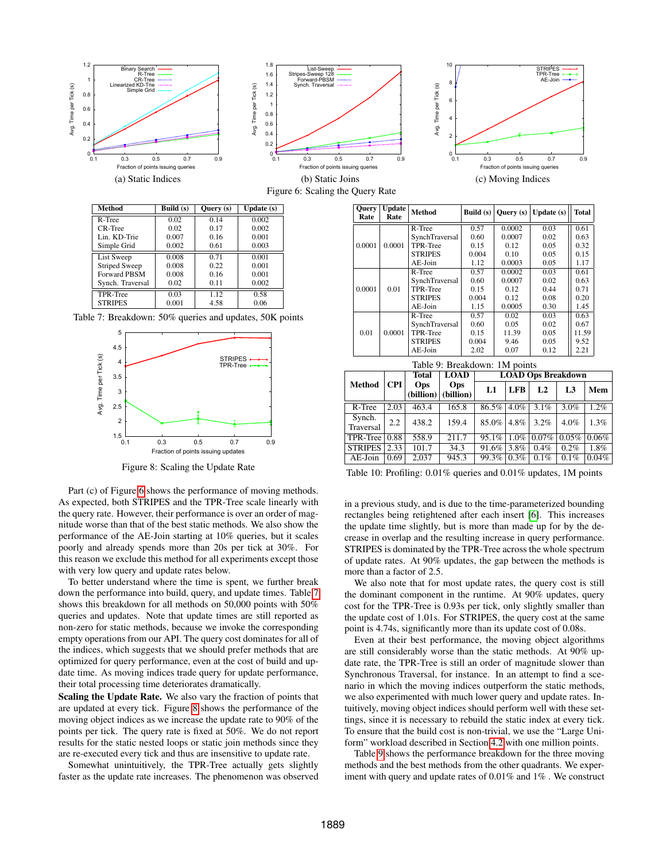<span id="page-7-0"></span>

<span id="page-7-1"></span>

| R-Tree               | 0.02  | 0.14 | 0.002 |
|----------------------|-------|------|-------|
| CR-Tree              | 0.02  | 0.17 | 0.002 |
| Lin. KD-Trie         | 0.007 | 0.16 | 0.001 |
| Simple Grid          | 0.002 | 0.61 | 0.003 |
| List Sweep           | 0.008 | 0.71 | 0.001 |
| <b>Striped Sweep</b> | 0.008 | 0.22 | 0.001 |
| <b>Forward PBSM</b>  | 0.008 | 0.16 | 0.001 |
| Synch. Traversal     | 0.02  | 0.11 | 0.002 |
| TPR-Tree             | 0.03  | 1.12 | 0.58  |
| <b>STRIPES</b>       | 0.001 | 4.58 | 0.06  |

<span id="page-7-2"></span>Table 7: Breakdown: 50% queries and updates, 50K points



Figure 8: Scaling the Update Rate

Part (c) of Figure [6](#page-7-0) shows the performance of moving methods. As expected, both STRIPES and the TPR-Tree scale linearly with the query rate. However, their performance is over an order of magnitude worse than that of the best static methods. We also show the performance of the AE-Join starting at 10% queries, but it scales poorly and already spends more than 20s per tick at 30%. For this reason we exclude this method for all experiments except those with very low query and update rates below.

To better understand where the time is spent, we further break down the performance into build, query, and update times. Table [7](#page-7-1) shows this breakdown for all methods on 50,000 points with 50% queries and updates. Note that update times are still reported as non-zero for static methods, because we invoke the corresponding empty operations from our API. The query cost dominates for all of the indices, which suggests that we should prefer methods that are optimized for query performance, even at the cost of build and update time. As moving indices trade query for update performance, their total processing time deteriorates dramatically.

Scaling the Update Rate. We also vary the fraction of points that are updated at every tick. Figure [8](#page-7-2) shows the performance of the moving object indices as we increase the update rate to 90% of the points per tick. The query rate is fixed at 50%. We do not report results for the static nested loops or static join methods since they are re-executed every tick and thus are insensitive to update rate.

Somewhat unintuitively, the TPR-Tree actually gets slightly faster as the update rate increases. The phenomenon was observed

<span id="page-7-3"></span>

| <b>Ouery</b><br>Rate | Update<br>Rate | <b>Method</b>  | Build (s) | Query (s) | Update (s) | <b>Total</b> |
|----------------------|----------------|----------------|-----------|-----------|------------|--------------|
|                      |                | R-Tree         | 0.57      | 0.0002    | 0.03       | 0.61         |
|                      |                | SynchTraversal | 0.60      | 0.0007    | 0.02       | 0.63         |
| 0.0001               | 0.0001         | TPR-Tree       | 0.15      | 0.12      | 0.05       | 0.32         |
|                      |                | <b>STRIPES</b> | 0.004     | 0.10      | 0.05       | 0.15         |
|                      |                | AE-Join        | 1.12      | 0.0003    | 0.05       | 1.17         |
|                      |                | R-Tree         | 0.57      | 0.0002    | 0.03       | 0.61         |
|                      | 0.01           | SynchTraversal | 0.60      | 0.0007    | 0.02       | 0.63         |
| 0.0001               |                | TPR-Tree       | 0.15      | 0.12      | 0.44       | 0.71         |
|                      |                | <b>STRIPES</b> | 0.004     | 0.12      | 0.08       | 0.20         |
|                      |                | $AE$ -Join     | 1.15      | 0.0005    | 0.30       | 1.45         |
|                      | 0.0001         | R-Tree         | 0.57      | 0.02      | 0.03       | 0.63         |
| 0.01                 |                | SynchTraversal | 0.60      | 0.05      | 0.02       | 0.67         |
|                      |                | TPR-Tree       | 0.15      | 11.39     | 0.05       | 11.59        |
|                      |                | <b>STRIPES</b> | 0.004     | 9.46      | 0.05       | 9.52         |
|                      |                | AE-Join        | 2.02      | 0.07      | 0.12       | 2.21         |

<span id="page-7-4"></span>

| Table 9: Breakdown: 1M points                            |            |            |                                   |               |            |       |       |         |  |
|----------------------------------------------------------|------------|------------|-----------------------------------|---------------|------------|-------|-------|---------|--|
| <b>LOAD</b><br><b>LOAD Ops Breakdown</b><br><b>Total</b> |            |            |                                   |               |            |       |       |         |  |
| <b>Method</b>                                            | <b>CPI</b> | <b>Ops</b> | <b>Ops</b><br>(billion) (billion) | L1            | <b>LFB</b> | L2    | L3    | Mem     |  |
| R-Tree                                                   | 2.03       | 463.4      | 165.8                             | 86.5%         | $4.0\%$    | 3.1%  | 3.0%  | $1.2\%$ |  |
| Synch.<br>Traversal                                      | 2.2        | 438.2      | 159.4                             | $85.0\%$ 4.8% |            | 3.2%  | 4.0%  | 1.3%    |  |
| TPR-Tree $\vert 0.88 \rangle$                            |            | 558.9      | 211.7                             | 95.1%         | $1.0\%$    | 0.07% | 0.05% | 0.06%   |  |
| <b>STRIPES</b>                                           | 2.33       | 101.7      | $\overline{34.3}$                 | 91.6%         | 3.8%       | 0.4%  | 0.2%  | 1.8%    |  |
| AE-Join                                                  | 0.69       | 2.037      | 945.3                             | 99.3%         | 0.3%       | 0.1%  | 0.1%  | 0.04%   |  |

Table 10: Profiling: 0.01% queries and 0.01% updates, 1M points

in a previous study, and is due to the time-parameterized bounding rectangles being retightened after each insert [\[6\]](#page-11-20). This increases the update time slightly, but is more than made up for by the decrease in overlap and the resulting increase in query performance. STRIPES is dominated by the TPR-Tree across the whole spectrum of update rates. At 90% updates, the gap between the methods is more than a factor of 2.5.

We also note that for most update rates, the query cost is still the dominant component in the runtime. At 90% updates, query cost for the TPR-Tree is 0.93s per tick, only slightly smaller than the update cost of 1.01s. For STRIPES, the query cost at the same point is 4.74s, significantly more than its update cost of 0.08s.

Even at their best performance, the moving object algorithms are still considerably worse than the static methods. At 90% update rate, the TPR-Tree is still an order of magnitude slower than Synchronous Traversal, for instance. In an attempt to find a scenario in which the moving indices outperform the static methods, we also experimented with much lower query and update rates. Intuitively, moving object indices should perform well with these settings, since it is necessary to rebuild the static index at every tick. To ensure that the build cost is non-trivial, we use the "Large Uniform" workload described in Section [4.2](#page-4-1) with one million points.

Table [9](#page-7-3) shows the performance breakdown for the three moving methods and the best methods from the other quadrants. We experiment with query and update rates of 0.01% and 1% . We construct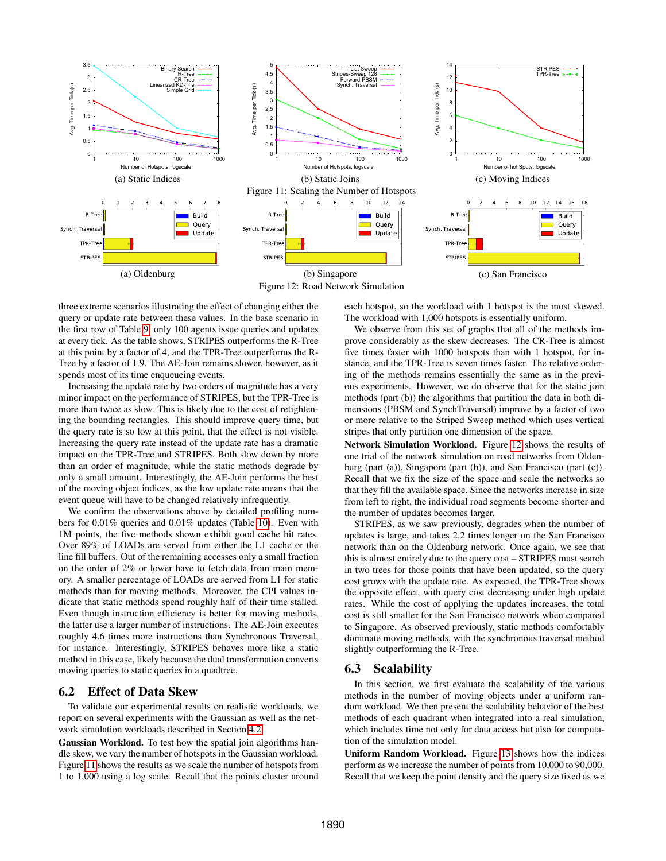<span id="page-8-0"></span>

<span id="page-8-1"></span>three extreme scenarios illustrating the effect of changing either the query or update rate between these values. In the base scenario in the first row of Table [9,](#page-7-3) only 100 agents issue queries and updates at every tick. As the table shows, STRIPES outperforms the R-Tree at this point by a factor of 4, and the TPR-Tree outperforms the R-Tree by a factor of 1.9. The AE-Join remains slower, however, as it spends most of its time enqueueing events.

Increasing the update rate by two orders of magnitude has a very minor impact on the performance of STRIPES, but the TPR-Tree is more than twice as slow. This is likely due to the cost of retightening the bounding rectangles. This should improve query time, but the query rate is so low at this point, that the effect is not visible. Increasing the query rate instead of the update rate has a dramatic impact on the TPR-Tree and STRIPES. Both slow down by more than an order of magnitude, while the static methods degrade by only a small amount. Interestingly, the AE-Join performs the best of the moving object indices, as the low update rate means that the event queue will have to be changed relatively infrequently.

We confirm the observations above by detailed profiling numbers for 0.01% queries and 0.01% updates (Table [10\)](#page-7-4). Even with 1M points, the five methods shown exhibit good cache hit rates. Over 89% of LOADs are served from either the L1 cache or the line fill buffers. Out of the remaining accesses only a small fraction on the order of 2% or lower have to fetch data from main memory. A smaller percentage of LOADs are served from L1 for static methods than for moving methods. Moreover, the CPI values indicate that static methods spend roughly half of their time stalled. Even though instruction efficiency is better for moving methods, the latter use a larger number of instructions. The AE-Join executes roughly 4.6 times more instructions than Synchronous Traversal, for instance. Interestingly, STRIPES behaves more like a static method in this case, likely because the dual transformation converts moving queries to static queries in a quadtree.

## 6.2 Effect of Data Skew

To validate our experimental results on realistic workloads, we report on several experiments with the Gaussian as well as the network simulation workloads described in Section [4.2.](#page-4-1)

Gaussian Workload. To test how the spatial join algorithms handle skew, we vary the number of hotspots in the Gaussian workload. Figure [11](#page-8-0) shows the results as we scale the number of hotspots from 1 to 1,000 using a log scale. Recall that the points cluster around

each hotspot, so the workload with 1 hotspot is the most skewed. The workload with 1,000 hotspots is essentially uniform.

We observe from this set of graphs that all of the methods improve considerably as the skew decreases. The CR-Tree is almost five times faster with 1000 hotspots than with 1 hotspot, for instance, and the TPR-Tree is seven times faster. The relative ordering of the methods remains essentially the same as in the previous experiments. However, we do observe that for the static join methods (part (b)) the algorithms that partition the data in both dimensions (PBSM and SynchTraversal) improve by a factor of two or more relative to the Striped Sweep method which uses vertical stripes that only partition one dimension of the space.

Network Simulation Workload. Figure [12](#page-8-1) shows the results of one trial of the network simulation on road networks from Oldenburg (part (a)), Singapore (part (b)), and San Francisco (part (c)). Recall that we fix the size of the space and scale the networks so that they fill the available space. Since the networks increase in size from left to right, the individual road segments become shorter and the number of updates becomes larger.

STRIPES, as we saw previously, degrades when the number of updates is large, and takes 2.2 times longer on the San Francisco network than on the Oldenburg network. Once again, we see that this is almost entirely due to the query cost – STRIPES must search in two trees for those points that have been updated, so the query cost grows with the update rate. As expected, the TPR-Tree shows the opposite effect, with query cost decreasing under high update rates. While the cost of applying the updates increases, the total cost is still smaller for the San Francisco network when compared to Singapore. As observed previously, static methods comfortably dominate moving methods, with the synchronous traversal method slightly outperforming the R-Tree.

## 6.3 Scalability

In this section, we first evaluate the scalability of the various methods in the number of moving objects under a uniform random workload. We then present the scalability behavior of the best methods of each quadrant when integrated into a real simulation, which includes time not only for data access but also for computation of the simulation model.

Uniform Random Workload. Figure [13](#page-9-1) shows how the indices perform as we increase the number of points from 10,000 to 90,000. Recall that we keep the point density and the query size fixed as we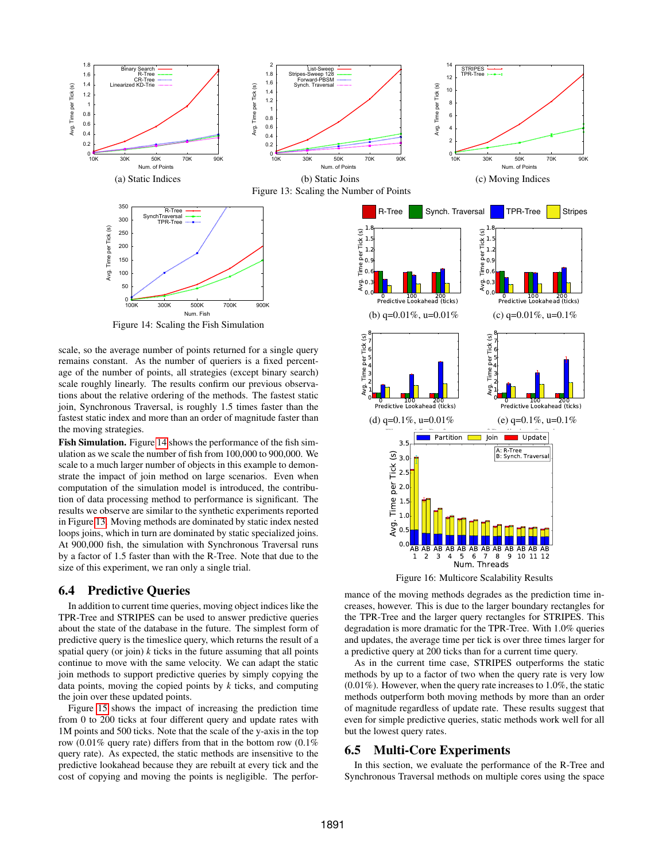<span id="page-9-1"></span>

<span id="page-9-2"></span>scale, so the average number of points returned for a single query remains constant. As the number of queriers is a fixed percentage of the number of points, all strategies (except binary search) scale roughly linearly. The results confirm our previous observations about the relative ordering of the methods. The fastest static join, Synchronous Traversal, is roughly 1.5 times faster than the fastest static index and more than an order of magnitude faster than the moving strategies.

Fish Simulation. Figure [14](#page-9-2) shows the performance of the fish simulation as we scale the number of fish from 100,000 to 900,000. We scale to a much larger number of objects in this example to demonstrate the impact of join method on large scenarios. Even when computation of the simulation model is introduced, the contribution of data processing method to performance is significant. The results we observe are similar to the synthetic experiments reported in Figure [13.](#page-9-1) Moving methods are dominated by static index nested loops joins, which in turn are dominated by static specialized joins. At 900,000 fish, the simulation with Synchronous Traversal runs by a factor of 1.5 faster than with the R-Tree. Note that due to the size of this experiment, we ran only a single trial.

## 6.4 Predictive Queries

In addition to current time queries, moving object indices like the TPR-Tree and STRIPES can be used to answer predictive queries about the state of the database in the future. The simplest form of predictive query is the timeslice query, which returns the result of a spatial query (or join)  $k$  ticks in the future assuming that all points continue to move with the same velocity. We can adapt the static join methods to support predictive queries by simply copying the data points, moving the copied points by *k* ticks, and computing the join over these updated points.

Figure [15](#page-9-3) shows the impact of increasing the prediction time from 0 to 200 ticks at four different query and update rates with 1M points and 500 ticks. Note that the scale of the y-axis in the top row (0.01% query rate) differs from that in the bottom row (0.1% query rate). As expected, the static methods are insensitive to the predictive lookahead because they are rebuilt at every tick and the cost of copying and moving the points is negligible. The perfor-

<span id="page-9-3"></span>

<span id="page-9-4"></span>mance of the moving methods degrades as the prediction time increases, however. This is due to the larger boundary rectangles for the TPR-Tree and the larger query rectangles for STRIPES. This degradation is more dramatic for the TPR-Tree. With 1.0% queries and updates, the average time per tick is over three times larger for a predictive query at 200 ticks than for a current time query.

As in the current time case, STRIPES outperforms the static methods by up to a factor of two when the query rate is very low (0.01%). However, when the query rate increases to 1.0%, the static methods outperform both moving methods by more than an order of magnitude regardless of update rate. These results suggest that even for simple predictive queries, static methods work well for all but the lowest query rates.

## <span id="page-9-0"></span>6.5 Multi-Core Experiments

In this section, we evaluate the performance of the R-Tree and Synchronous Traversal methods on multiple cores using the space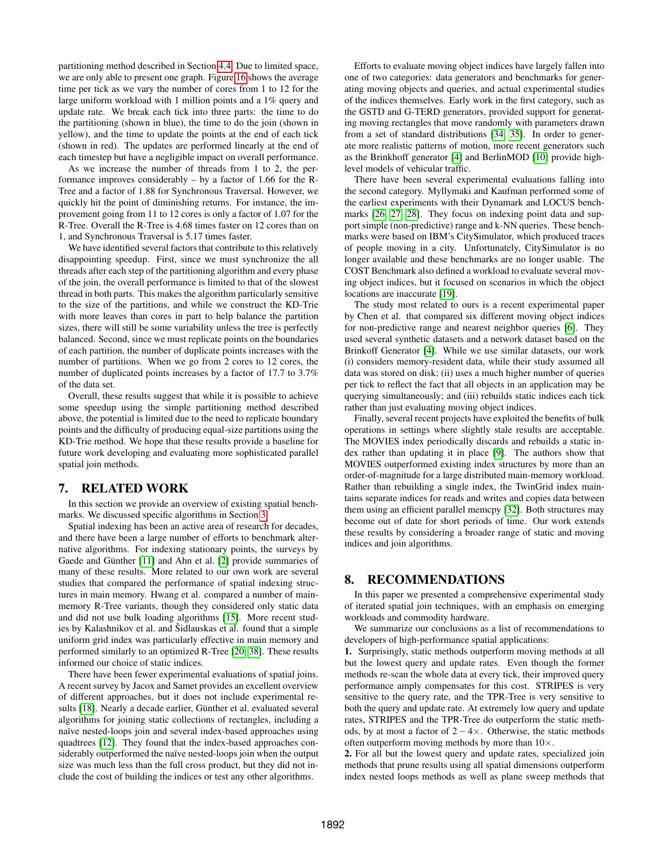partitioning method described in Section [4.4.](#page-5-4) Due to limited space, we are only able to present one graph. Figure [16](#page-9-4) shows the average time per tick as we vary the number of cores from 1 to 12 for the large uniform workload with 1 million points and a 1% query and update rate. We break each tick into three parts: the time to do the partitioning (shown in blue), the time to do the join (shown in yellow), and the time to update the points at the end of each tick (shown in red). The updates are performed linearly at the end of each timestep but have a negligible impact on overall performance.

As we increase the number of threads from 1 to 2, the performance improves considerably – by a factor of 1.66 for the R-Tree and a factor of 1.88 for Synchronous Traversal. However, we quickly hit the point of diminishing returns. For instance, the improvement going from 11 to 12 cores is only a factor of 1.07 for the R-Tree. Overall the R-Tree is 4.68 times faster on 12 cores than on 1, and Synchronous Traversal is 5.17 times faster.

We have identified several factors that contribute to this relatively disappointing speedup. First, since we must synchronize the all threads after each step of the partitioning algorithm and every phase of the join, the overall performance is limited to that of the slowest thread in both parts. This makes the algorithm particularly sensitive to the size of the partitions, and while we construct the KD-Trie with more leaves than cores in part to help balance the partition sizes, there will still be some variability unless the tree is perfectly balanced. Second, since we must replicate points on the boundaries of each partition, the number of duplicate points increases with the number of partitions. When we go from 2 cores to 12 cores, the number of duplicated points increases by a factor of 17.7 to 3.7% of the data set.

Overall, these results suggest that while it is possible to achieve some speedup using the simple partitioning method described above, the potential is limited due to the need to replicate boundary points and the difficulty of producing equal-size partitions using the KD-Trie method. We hope that these results provide a baseline for future work developing and evaluating more sophisticated parallel spatial join methods.

## <span id="page-10-0"></span>7. RELATED WORK

In this section we provide an overview of existing spatial benchmarks. We discussed specific algorithms in Section [3.](#page-2-0)

Spatial indexing has been an active area of research for decades, and there have been a large number of efforts to benchmark alternative algorithms. For indexing stationary points, the surveys by Gaede and Günther [\[11\]](#page-11-30) and Ahn et al. [\[2\]](#page-11-31) provide summaries of many of these results. More related to our own work are several studies that compared the performance of spatial indexing structures in main memory. Hwang et al. compared a number of mainmemory R-Tree variants, though they considered only static data and did not use bulk loading algorithms [\[15\]](#page-11-18). More recent studies by Kalashnikov et al. and Šidlauskas et al. found that a simple uniform grid index was particularly effective in main memory and performed similarly to an optimized R-Tree [\[20,](#page-11-19) [38\]](#page-11-13). These results informed our choice of static indices.

There have been fewer experimental evaluations of spatial joins. A recent survey by Jacox and Samet provides an excellent overview of different approaches, but it does not include experimental results [\[18\]](#page-11-32). Nearly a decade earlier, Günther et al. evaluated several algorithms for joining static collections of rectangles, including a naïve nested-loops join and several index-based approaches using quadtrees [\[12\]](#page-11-33). They found that the index-based approaches considerably outperformed the naïve nested-loops join when the output size was much less than the full cross product, but they did not include the cost of building the indices or test any other algorithms.

Efforts to evaluate moving object indices have largely fallen into one of two categories: data generators and benchmarks for generating moving objects and queries, and actual experimental studies of the indices themselves. Early work in the first category, such as the GSTD and G-TERD generators, provided support for generating moving rectangles that move randomly with parameters drawn from a set of standard distributions [\[34,](#page-11-34) [35\]](#page-11-35). In order to generate more realistic patterns of motion, more recent generators such as the Brinkhoff generator [\[4\]](#page-11-28) and BerlinMOD [\[10\]](#page-11-36) provide highlevel models of vehicular traffic.

There have been several experimental evaluations falling into the second category. Myllymaki and Kaufman performed some of the earliest experiments with their Dynamark and LOCUS benchmarks [\[26,](#page-11-37) [27,](#page-11-38) [28\]](#page-11-0). They focus on indexing point data and support simple (non-predictive) range and k-NN queries. These benchmarks were based on IBM's CitySimulator, which produced traces of people moving in a city. Unfortunately, CitySimulator is no longer available and these benchmarks are no longer usable. The COST Benchmark also defined a workload to evaluate several moving object indices, but it focused on scenarios in which the object locations are inaccurate [\[19\]](#page-11-39).

The study most related to ours is a recent experimental paper by Chen et al. that compared six different moving object indices for non-predictive range and nearest neighbor queries [\[6\]](#page-11-20). They used several synthetic datasets and a network dataset based on the Brinkoff Generator [\[4\]](#page-11-28). While we use similar datasets, our work (i) considers memory-resident data, while their study assumed all data was stored on disk; (ii) uses a much higher number of queries per tick to reflect the fact that all objects in an application may be querying simultaneously; and (iii) rebuilds static indices each tick rather than just evaluating moving object indices.

Finally, several recent projects have exploited the benefits of bulk operations in settings where slightly stale results are acceptable. The MOVIES index periodically discards and rebuilds a static index rather than updating it in place [\[9\]](#page-11-5). The authors show that MOVIES outperformed existing index structures by more than an order-of-magnitude for a large distributed main-memory workload. Rather than rebuilding a single index, the TwinGrid index maintains separate indices for reads and writes and copies data between them using an efficient parallel memcpy [\[32\]](#page-11-6). Both structures may become out of date for short periods of time. Our work extends these results by considering a broader range of static and moving indices and join algorithms.

## 8. RECOMMENDATIONS

In this paper we presented a comprehensive experimental study of iterated spatial join techniques, with an emphasis on emerging workloads and commodity hardware.

We summarize our conclusions as a list of recommendations to developers of high-performance spatial applications:

1. Surprisingly, static methods outperform moving methods at all but the lowest query and update rates. Even though the former methods re-scan the whole data at every tick, their improved query performance amply compensates for this cost. STRIPES is very sensitive to the query rate, and the TPR-Tree is very sensitive to both the query and update rate. At extremely low query and update rates, STRIPES and the TPR-Tree do outperform the static methods, by at most a factor of  $2 - 4 \times$ . Otherwise, the static methods often outperform moving methods by more than  $10\times$ .

2. For all but the lowest query and update rates, specialized join methods that prune results using all spatial dimensions outperform index nested loops methods as well as plane sweep methods that